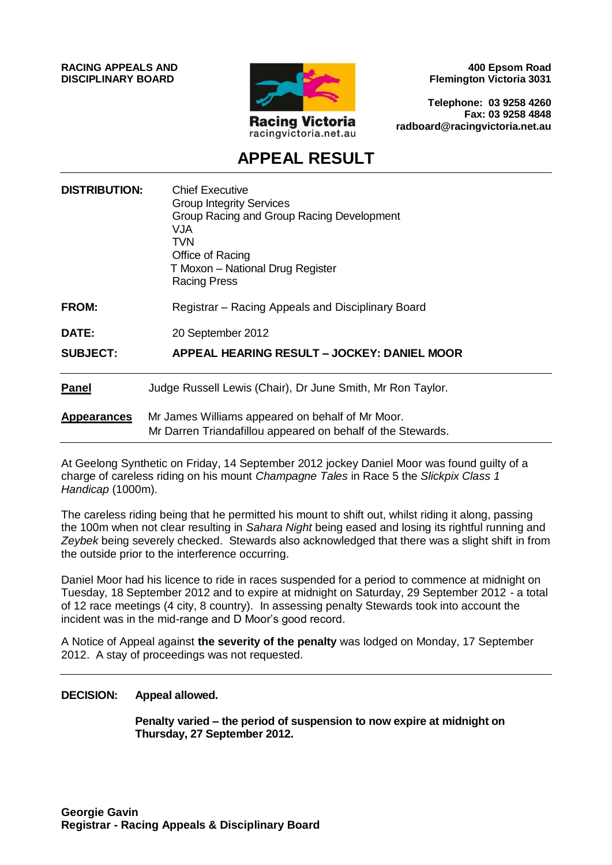**RACING APPEALS AND DISCIPLINARY BOARD**



**400 Epsom Road Flemington Victoria 3031**

**Telephone: 03 9258 4260 Fax: 03 9258 4848 radboard@racingvictoria.net.au**

## **APPEAL RESULT**

| <b>DISTRIBUTION:</b> | <b>Chief Executive</b><br><b>Group Integrity Services</b><br>Group Racing and Group Racing Development<br>VJA<br><b>TVN</b><br>Office of Racing<br>T Moxon - National Drug Register<br><b>Racing Press</b> |
|----------------------|------------------------------------------------------------------------------------------------------------------------------------------------------------------------------------------------------------|
| FROM:                | Registrar – Racing Appeals and Disciplinary Board                                                                                                                                                          |
| <b>DATE:</b>         | 20 September 2012                                                                                                                                                                                          |
| <b>SUBJECT:</b>      | APPEAL HEARING RESULT - JOCKEY: DANIEL MOOR                                                                                                                                                                |
| <b>Panel</b>         | Judge Russell Lewis (Chair), Dr June Smith, Mr Ron Taylor.                                                                                                                                                 |
| <b>Appearances</b>   | Mr James Williams appeared on behalf of Mr Moor.<br>Mr Darren Triandafillou appeared on behalf of the Stewards.                                                                                            |

At Geelong Synthetic on Friday, 14 September 2012 jockey Daniel Moor was found guilty of a charge of careless riding on his mount *Champagne Tales* in Race 5 the *Slickpix Class 1 Handicap* (1000m).

The careless riding being that he permitted his mount to shift out, whilst riding it along, passing the 100m when not clear resulting in *Sahara Night* being eased and losing its rightful running and *Zeybek* being severely checked. Stewards also acknowledged that there was a slight shift in from the outside prior to the interference occurring.

Daniel Moor had his licence to ride in races suspended for a period to commence at midnight on Tuesday, 18 September 2012 and to expire at midnight on Saturday, 29 September 2012 - a total of 12 race meetings (4 city, 8 country). In assessing penalty Stewards took into account the incident was in the mid-range and D Moor's good record.

A Notice of Appeal against **the severity of the penalty** was lodged on Monday, 17 September 2012. A stay of proceedings was not requested.

#### **DECISION: Appeal allowed.**

**Penalty varied – the period of suspension to now expire at midnight on Thursday, 27 September 2012.**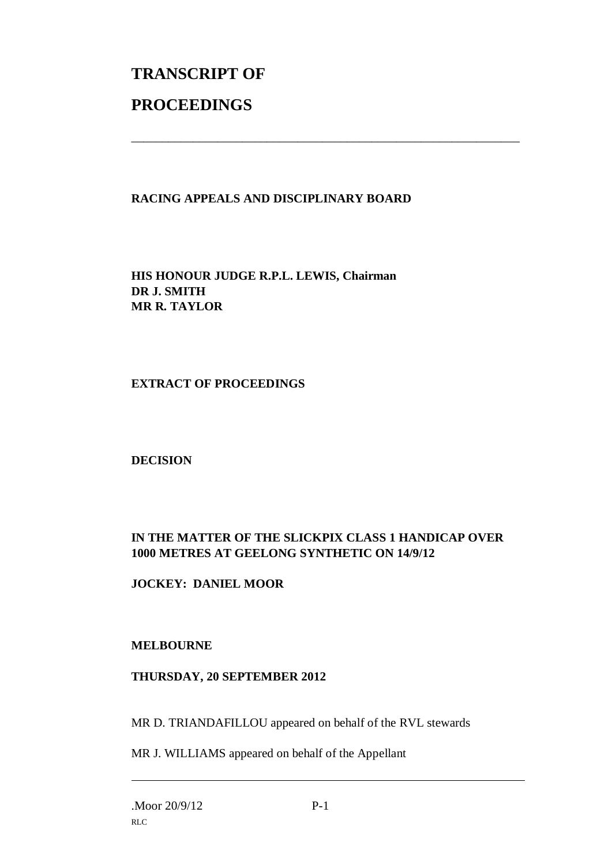# **TRANSCRIPT OF PROCEEDINGS**

### **RACING APPEALS AND DISCIPLINARY BOARD**

\_\_\_\_\_\_\_\_\_\_\_\_\_\_\_\_\_\_\_\_\_\_\_\_\_\_\_\_\_\_\_\_\_\_\_\_\_\_\_\_\_\_\_\_\_\_\_\_\_\_\_\_\_\_\_\_\_\_\_\_\_\_\_

**HIS HONOUR JUDGE R.P.L. LEWIS, Chairman DR J. SMITH MR R. TAYLOR**

#### **EXTRACT OF PROCEEDINGS**

**DECISION**

#### **IN THE MATTER OF THE SLICKPIX CLASS 1 HANDICAP OVER 1000 METRES AT GEELONG SYNTHETIC ON 14/9/12**

#### **JOCKEY: DANIEL MOOR**

#### **MELBOURNE**

#### **THURSDAY, 20 SEPTEMBER 2012**

MR D. TRIANDAFILLOU appeared on behalf of the RVL stewards

MR J. WILLIAMS appeared on behalf of the Appellant